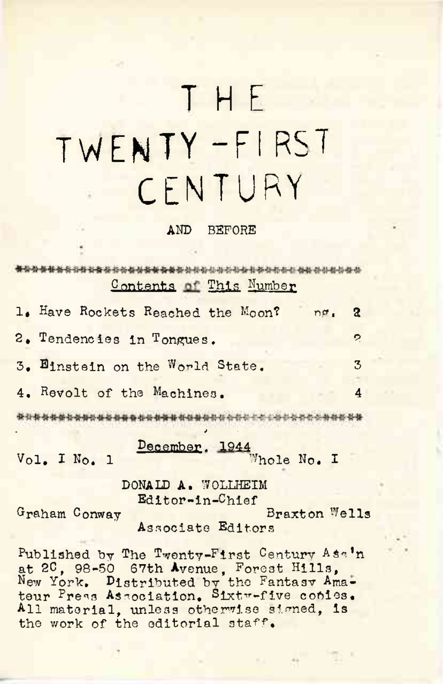## THE TWENTY-FIRST CENTURY

## **AND BEFORE**

\*\*\*\*\*\*\*\*\*\*\*\*\*\*\*\*\*\*\*\*\*\*\*\*\*\*\*\*\*\*\*\*\*\*\*\* Contents of This Number

| 1. Have Rockets Reached the Moon?<br>nø.   | 2                     |
|--------------------------------------------|-----------------------|
| 2. Tendencies in Tongues.                  | $\tilde{\mathcal{L}}$ |
| 3. Binstein on the World State.            | 3                     |
| 4. Revolt of the Machines.                 | 4                     |
|                                            |                       |
| December. 1944 Whole No. I<br>Vol. I No. 1 |                       |

DONALD A. WOLLHEIM Editor-in-Chief

Graham Conway

Braxton Wells Associate Editors

Published by The Twenty-First Century Asa'n at 20, 98-50 67th Avenue, Forest Hills,<br>New York, Distributed by the Fantasy Amateur Press Association. Sixtw-five conies. All material, unless otherwise signed. is the work of the editorial staff.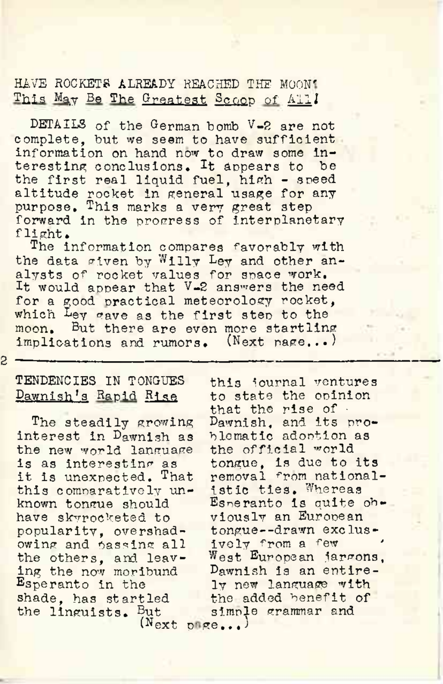HAVE ROCKETS ALREADY REACHED THE MOON' This May Be The Greatest Scoop of All!

DETAILS of the German bomb V-2 are not complete, but we seem to have sufficient information on hand now to draw some interesting conclusions. It appears to be the first real liquid fuel, high - speed altitude rocket in general usage for any purpose. This marks a very great step forward in the progress of interplanetary flight.

The information compares favorably with the data given by Willy Ley and other analysts of rocket values for space work. It would appear that V-2 answers the need for a good practical meteorology rocket, which Ley gave as the first step to the moon. But there are even more startling implications and rumors. (Next page...) 2023. \ndxt pake....

S.

## TENDENCIES IN TONGUES Dawnish's Rapid Rise

The steadily growing interest in Dawnish as the new world language is as interesting as it is unexpected. That this comnaratively unknown tongue should have skyrocketed to popularity, overshadowing and passing all the others, and leaving the now moribund Esperanto in the shade, has startled the linguists. But (Next

this journal ventures to state the opinion that the rise of  $\cdot$ Dawnish, and its problematic adoption as the official world tongue, is due to its removal from nationalistic ties. Whereas Esperanto is quite obviously an European tongue--drawn exclusively from a few ' <sup>W</sup>est European jargons, Dawnish is an entirely new language with the added benefit of simple grammar and  $\sigma$ ege...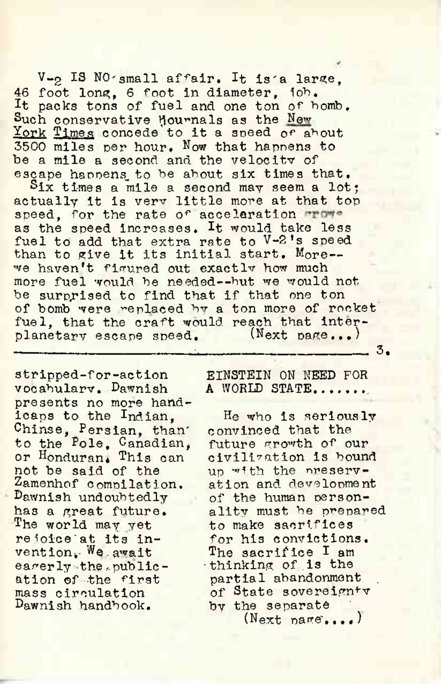V-2 IS NO'small affair. It is'a large, 46 foot Ions;, <sup>6</sup> foot in diameter, iob. It packs tons of fuel and one ton of homb. Such conservative Mournals as the New York Tjmes concede to it <sup>a</sup> speed *or* about 3500 miles per hour. Now that happens to be a mile a second and the velocity of escape happens to be about six times that.

Six times a mile a second may seem a lot; actually it is verv little more at that top speed, for the rate of acceleration ruwas the speed increases. It would take less fuel to add that extra rate to V-2's speed than to give it its initial start. More-we haven't figured out exactly how much more fuel would he needed--hut we would not be surprised to find that if that one ton of bomb were replaced by a ton more of rocket fuel, that the craft would reach that inter-<br>planetary escape speed. (Next page...) planetary escape speed. \_\_\_\_\_\_\_\_\_\_\_\_\_\_\_\_\_\_\_\_\_\_\_\_\_\_ \_\_\_\_\_\_\_\_\_\_\_\_\_\_\_\_\_\_\_\_\_\_\_\_\_\_ 3.

stripped-for-action vocabulary. Dawnish presents no more handicaps to the Indian, Chinse, Persian, than' to the Pole, Canadian, or Honduran. This can not be said of the Zamenhof compilation. Dawnish undoubtedly has a great future. The world may yet re ioice'at its invention, We. await earerly the .publication of the first mass circulation Dawnish handbook.

EINSTEIN ON NEED FOR **A** WORLD STATE...............,

He who is seriously convinced that the future growth of our civilisation is bound up with the preservation and development of the human personality must be prepared to make sacrifices for his convictions. The sacrifice I am •thinking of .is the partial abandonment of State sovereignty by the separate  $(Next \nmax s... )$